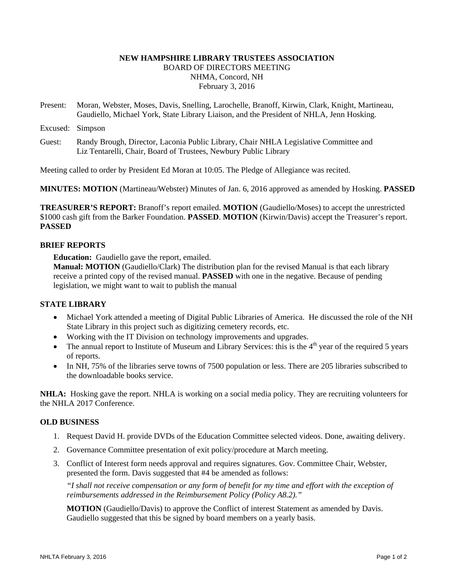# **NEW HAMPSHIRE LIBRARY TRUSTEES ASSOCIATION**  BOARD OF DIRECTORS MEETING NHMA, Concord, NH February 3, 2016

- Present: Moran, Webster, Moses, Davis, Snelling, Larochelle, Branoff, Kirwin, Clark, Knight, Martineau, Gaudiello, Michael York, State Library Liaison, and the President of NHLA, Jenn Hosking.
- Excused: Simpson
- Guest: Randy Brough, Director, Laconia Public Library, Chair NHLA Legislative Committee and Liz Tentarelli, Chair, Board of Trustees, Newbury Public Library

Meeting called to order by President Ed Moran at 10:05. The Pledge of Allegiance was recited.

**MINUTES: MOTION** (Martineau/Webster) Minutes of Jan. 6, 2016 approved as amended by Hosking. **PASSED** 

**TREASURER'S REPORT:** Branoff's report emailed. **MOTION** (Gaudiello/Moses) to accept the unrestricted \$1000 cash gift from the Barker Foundation. **PASSED**. **MOTION** (Kirwin/Davis) accept the Treasurer's report. **PASSED**

## **BRIEF REPORTS**

**Education:** Gaudiello gave the report, emailed.

**Manual: MOTION** (Gaudiello/Clark) The distribution plan for the revised Manual is that each library receive a printed copy of the revised manual. **PASSED** with one in the negative. Because of pending legislation, we might want to wait to publish the manual

## **STATE LIBRARY**

- Michael York attended a meeting of Digital Public Libraries of America. He discussed the role of the NH State Library in this project such as digitizing cemetery records, etc.
- Working with the IT Division on technology improvements and upgrades.
- The annual report to Institute of Museum and Library Services: this is the  $4<sup>th</sup>$  year of the required 5 years of reports.
- In NH, 75% of the libraries serve towns of 7500 population or less. There are 205 libraries subscribed to the downloadable books service.

**NHLA:** Hosking gave the report. NHLA is working on a social media policy. They are recruiting volunteers for the NHLA 2017 Conference.

## **OLD BUSINESS**

- 1. Request David H. provide DVDs of the Education Committee selected videos. Done, awaiting delivery.
- 2. Governance Committee presentation of exit policy/procedure at March meeting.
- 3. Conflict of Interest form needs approval and requires signatures. Gov. Committee Chair, Webster, presented the form. Davis suggested that #4 be amended as follows:

*"I shall not receive compensation or any form of benefit for my time and effort with the exception of reimbursements addressed in the Reimbursement Policy (Policy A8.2)."* 

**MOTION** (Gaudiello/Davis) to approve the Conflict of interest Statement as amended by Davis. Gaudiello suggested that this be signed by board members on a yearly basis.